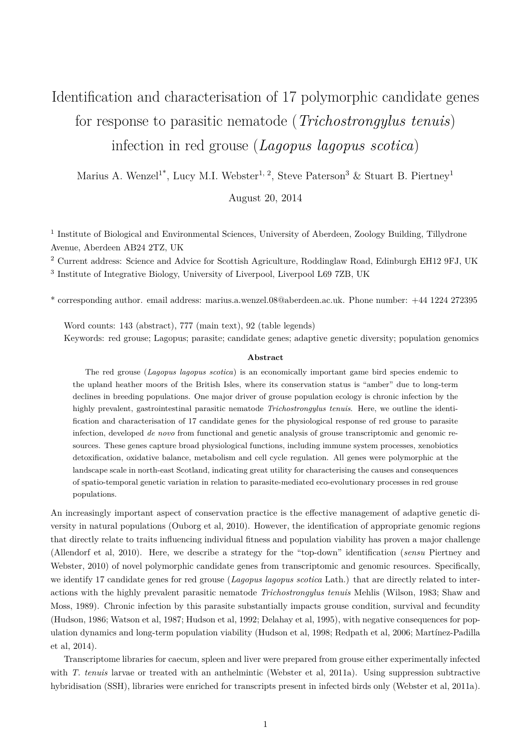## Identification and characterisation of 17 polymorphic candidate genes for response to parasitic nematode (*Trichostrongylus tenuis*) infection in red grouse (*Lagopus lagopus scotica*)

Marius A. Wenzel<sup>1\*</sup>, Lucy M.I. Webster<sup>1, 2</sup>, Steve Paterson<sup>3</sup> & Stuart B. Piertney<sup>1</sup>

August 20, 2014

<sup>1</sup> Institute of Biological and Environmental Sciences, University of Aberdeen, Zoology Building, Tillydrone Avenue, Aberdeen AB24 2TZ, UK

<sup>2</sup> Current address: Science and Advice for Scottish Agriculture, Roddinglaw Road, Edinburgh EH12 9FJ, UK

<sup>3</sup> Institute of Integrative Biology, University of Liverpool, Liverpool L69 7ZB, UK

\* corresponding author. email address: marius.a.wenzel.08@aberdeen.ac.uk. Phone number: +44 1224 272395

Word counts: 143 (abstract), 777 (main text), 92 (table legends) Keywords: red grouse; Lagopus; parasite; candidate genes; adaptive genetic diversity; population genomics

## **Abstract**

The red grouse (*Lagopus lagopus scotica*) is an economically important game bird species endemic to the upland heather moors of the British Isles, where its conservation status is "amber" due to long-term declines in breeding populations. One major driver of grouse population ecology is chronic infection by the highly prevalent, gastrointestinal parasitic nematode *Trichostrongylus tenuis*. Here, we outline the identification and characterisation of 17 candidate genes for the physiological response of red grouse to parasite infection, developed *de novo* from functional and genetic analysis of grouse transcriptomic and genomic resources. These genes capture broad physiological functions, including immune system processes, xenobiotics detoxification, oxidative balance, metabolism and cell cycle regulation. All genes were polymorphic at the landscape scale in north-east Scotland, indicating great utility for characterising the causes and consequences of spatio-temporal genetic variation in relation to parasite-mediated eco-evolutionary processes in red grouse populations.

An increasingly important aspect of conservation practice is the effective management of adaptive genetic diversity in natural populations (Ouborg et al, 2010). However, the identification of appropriate genomic regions that directly relate to traits influencing individual fitness and population viability has proven a major challenge (Allendorf et al, 2010). Here, we describe a strategy for the "top-down" identification (*sensu* Piertney and Webster, 2010) of novel polymorphic candidate genes from transcriptomic and genomic resources. Specifically, we identify 17 candidate genes for red grouse (*Lagopus lagopus scotica* Lath.) that are directly related to interactions with the highly prevalent parasitic nematode *Trichostrongylus tenuis* Mehlis (Wilson, 1983; Shaw and Moss, 1989). Chronic infection by this parasite substantially impacts grouse condition, survival and fecundity (Hudson, 1986; Watson et al, 1987; Hudson et al, 1992; Delahay et al, 1995), with negative consequences for population dynamics and long-term population viability (Hudson et al, 1998; Redpath et al, 2006; Martínez-Padilla et al, 2014).

Transcriptome libraries for caecum, spleen and liver were prepared from grouse either experimentally infected with *T. tenuis* larvae or treated with an anthelmintic (Webster et al, 2011a). Using suppression subtractive hybridisation (SSH), libraries were enriched for transcripts present in infected birds only (Webster et al, 2011a).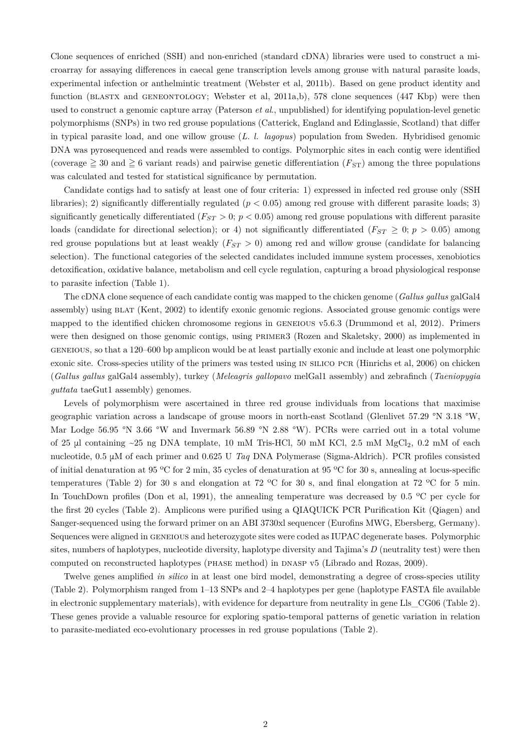Clone sequences of enriched (SSH) and non-enriched (standard cDNA) libraries were used to construct a microarray for assaying differences in caecal gene transcription levels among grouse with natural parasite loads, experimental infection or anthelmintic treatment (Webster et al, 2011b). Based on gene product identity and function (BLASTX and GENEONTOLOGY; Webster et al, 2011a,b), 578 clone sequences (447 Kbp) were then used to construct a genomic capture array (Paterson *et al*., unpublished) for identifying population-level genetic polymorphisms (SNPs) in two red grouse populations (Catterick, England and Edinglassie, Scotland) that differ in typical parasite load, and one willow grouse (*L. l. lagopus*) population from Sweden. Hybridised genomic DNA was pyrosequenced and reads were assembled to contigs. Polymorphic sites in each contig were identified (coverage  $\geq 30$  and  $\geq 6$  variant reads) and pairwise genetic differentiation ( $F_{ST}$ ) among the three populations was calculated and tested for statistical significance by permutation.

Candidate contigs had to satisfy at least one of four criteria: 1) expressed in infected red grouse only (SSH libraries); 2) significantly differentially regulated (*p <* 0*.*05) among red grouse with different parasite loads; 3) significantly genetically differentiated ( $F_{ST}$  > 0;  $p$  < 0.05) among red grouse populations with different parasite loads (candidate for directional selection); or 4) not significantly differentiated ( $F_{ST} \geq 0$ ;  $p > 0.05$ ) among red grouse populations but at least weakly (*FST >* 0) among red and willow grouse (candidate for balancing selection). The functional categories of the selected candidates included immune system processes, xenobiotics detoxification, oxidative balance, metabolism and cell cycle regulation, capturing a broad physiological response to parasite infection (Table 1).

The cDNA clone sequence of each candidate contig was mapped to the chicken genome (*Gallus gallus* galGal4 assembly) using blat (Kent, 2002) to identify exonic genomic regions. Associated grouse genomic contigs were mapped to the identified chicken chromosome regions in GENEIOUS v5.6.3 (Drummond et al, 2012). Primers were then designed on those genomic contigs, using PRIMER3 (Rozen and Skaletsky, 2000) as implemented in geneious, so that a 120–600 bp amplicon would be at least partially exonic and include at least one polymorphic exonic site. Cross-species utility of the primers was tested using in silico pcr (Hinrichs et al, 2006) on chicken (*Gallus gallus* galGal4 assembly), turkey (*Meleagris gallopavo* melGal1 assembly) and zebrafinch (*Taeniopygia guttata* taeGut1 assembly) genomes.

Levels of polymorphism were ascertained in three red grouse individuals from locations that maximise geographic variation across a landscape of grouse moors in north-east Scotland (Glenlivet 57.29 °N 3.18 °W, Mar Lodge 56.95 °N 3.66 °W and Invermark 56.89 °N 2.88 °W). PCRs were carried out in a total volume of 25 μl containing  $\sim$ 25 ng DNA template, 10 mM Tris-HCl, 50 mM KCl, 2.5 mM MgCl<sub>2</sub>, 0.2 mM of each nucleotide, 0.5 μM of each primer and 0.625 U *Taq* DNA Polymerase (Sigma-Aldrich). PCR profiles consisted of initial denaturation at 95 ºC for 2 min, 35 cycles of denaturation at 95 ºC for 30 s, annealing at locus-specific temperatures (Table 2) for 30 s and elongation at 72 ºC for 30 s, and final elongation at 72 ºC for 5 min. In TouchDown profiles (Don et al, 1991), the annealing temperature was decreased by 0.5 °C per cycle for the first 20 cycles (Table 2). Amplicons were purified using a QIAQUICK PCR Purification Kit (Qiagen) and Sanger-sequenced using the forward primer on an ABI 3730xl sequencer (Eurofins MWG, Ebersberg, Germany). Sequences were aligned in GENEIOUS and heterozygote sites were coded as IUPAC degenerate bases. Polymorphic sites, numbers of haplotypes, nucleotide diversity, haplotype diversity and Tajima's *D* (neutrality test) were then computed on reconstructed haplotypes (phase method) in dnasp v5 (Librado and Rozas, 2009).

Twelve genes amplified *in silico* in at least one bird model, demonstrating a degree of cross-species utility (Table 2). Polymorphism ranged from 1–13 SNPs and 2–4 haplotypes per gene (haplotype FASTA file available in electronic supplementary materials), with evidence for departure from neutrality in gene Lls\_CG06 (Table 2). These genes provide a valuable resource for exploring spatio-temporal patterns of genetic variation in relation to parasite-mediated eco-evolutionary processes in red grouse populations (Table 2).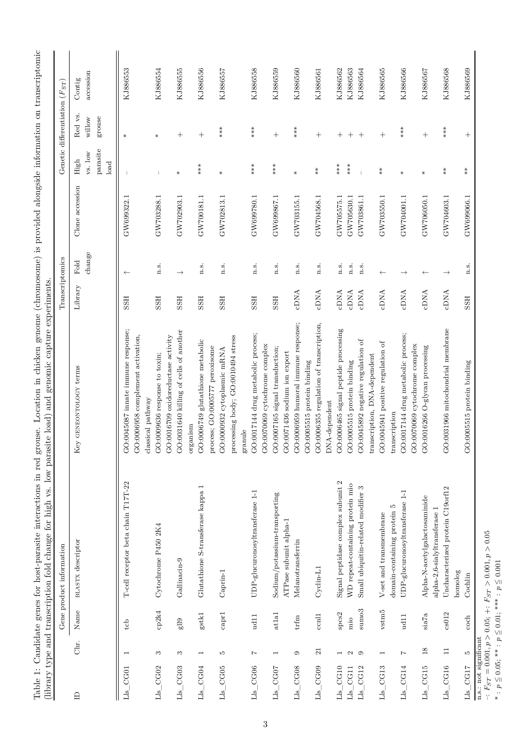| KJ886558<br>KJ886555<br>KJ886559<br>Contig<br>Red vs.<br>grouse<br>willow<br>$***$<br>$***$<br>$***$<br>$***$<br>$***$<br>$^{+}$<br>$\hspace{0.1mm} +$<br>$\hspace{0.1mm} +$<br>$\hspace{0.1mm} +$<br>$\hspace{0.1mm} +$<br>$^{+}$<br>$^{+}$<br>$^{+}$<br>$^{+}$<br>$\ast$<br>$\ast$<br>parasite<br>vs. low<br>High<br>load<br>$***$<br>$***$<br>$***$<br>***<br>$***$<br>$\stackrel{*}{\ast}$<br>$\stackrel{*}{\ast}$<br>$*$<br>$_{\rm *}^*$<br>$\ast$<br>⋇<br>$\ast$<br>$\ast$<br>$\star$<br>Clone accession<br>GW703288.1<br>GW699780.1<br>GW702903.1<br>GW700181.1<br>GW702813.1<br>GW699867.1<br>GW704568.1<br>GW703550.1<br>GW704001.1<br>GW704603.1<br>GW699322.1<br>GW703155.1<br>GW705575.1<br>GW706050.1<br>GW699066.1<br>GW705630.1<br>GW703861.1<br>change<br>Fold<br>n.s.<br>n.s.<br>n.s.<br>n.s.<br>n.s.<br>n.s.<br>n.s.<br>n.s.<br>$\overline{n}$ . S.<br>n.s.<br>n.s.<br>$\rightarrow$<br>$\leftarrow$<br>$\rightarrow$<br>$\leftarrow$<br>$\leftarrow$<br>Library<br>cDNA<br>cDNA<br><b>CDNA</b><br>cDNA<br>cDNA<br>cDNA<br><b>CDNA</b><br><b>CDNA</b><br>cDNA<br><b>SSH</b><br><b>ESSE</b><br><b>ESSE</b><br><b>ESSE</b><br><b>HSS</b><br><b>HSS</b><br><b>ESSE</b><br><b>HSS</b><br>GO:0006959 humoral immune response;<br>GO:0006355 regulation of transcription,<br>GO:0006465 signal peptide processing<br>GO:0031966 mitochondrial membrane<br>GO:0045087 innate immune response;<br>GO:0031640 killing of cells of another<br>GO:0017144 drug metabolic process;<br>GO:0017144 drug metabolic process;<br>GO:0006958 complement activation,<br>GO:0016709 oxidoreductase activity<br>processing body; GO:0010494 stress<br>GO:0006749 glutathione metabolic<br>GO:0045892 negative regulation of<br>GO:0045941 positive regulation of<br>GO:0070069 cytochrome complex<br>GO:0070069 cytochrome complex<br>GO:0016266 O-glycan processing<br>GO:0007165 signal transduction;<br>process; GO:0005777 peroxisome<br>GO:0000932 cytoplasmic mRNA<br>GO:0071436 sodium ion export<br>GO:0009636 response to toxin;<br>transcription, DNA-dependent<br>GO:0005515 protein binding<br>GO:0005515 protein binding<br>GO:0005515 protein binding<br>Key GENEONTOLOGY terms<br>classical pathway<br>$DNA-dependent$<br>transcription<br>organism<br>granule<br>Signal peptidase complex subunit 2<br>T-cell receptor beta chain T17T-22<br>WD repeat-containing protein mio<br>Glutathione S-transferase kappa 1<br>Small ubiquitin-related modifier 3<br>Uncharacterized protein C19orf12<br>$\text{UDP-glucurono}syl transferase\ 1-1$<br>$\text{UDP-glucuron} \text{osyltransferase}\text{ }1\text{-}1$<br>Sodium/potassium-transporting<br>Alpha-N-acetylgalactosaminide<br>domain-containing protein 5<br>alpha-2,6-sialyltransferase 1<br>V-set and transmembrane<br>ATPase subunit alpha-1<br>Cytochrome P450 2K4<br><b>BLASTX</b> descriptor<br>Melanotransferrin<br>Gallinacin-9<br>Cyclin-L1<br>$Caprin-1$<br>homolog<br>Cochlin<br>$\mathrm{sumo}3$<br>$vsim5$<br>Name<br>cp2k4<br>cap1<br>at1a1<br>${\rm spcs2}$<br>cs012<br>$g$ stk $1$<br>$\rm{si}a7a$<br>$_{\rm {ccnll}}$<br>ud11<br>ud11<br>$_{\rm trfm}$<br>$\operatorname{coch}$<br>mio<br>g119<br>tcb<br>Chr.<br>$\overline{18}$<br>$\overline{\mathbf{21}}$<br>$\Xi$<br>ìО,<br>$\circ$<br>$\circ$<br>$\overline{z}$<br>S<br>S<br>$\overline{\phantom{a}}$<br>S<br>$\overline{z}$<br>$\overline{\phantom{a}}$<br>$\overline{\phantom{0}}$<br>$\mathbf{\Omega}$<br>$\overline{\phantom{0}}$<br>$\overline{\phantom{0}}$<br>$Lls\_CG17$<br>$Lls_C$ CG06<br>Lls CG10<br>Lls_CG15<br>$Lls_C$ CG16<br>Lls_CG02<br>$Lls$ CG04<br>$Lls$ CG07<br>Lls_CG08<br>Lls_CG09<br>$Lls\_CG13$<br>$Lls$ CG14<br>Lls_CG03<br>$Lls$ $_CG05$<br>${\rm Lls\_CG11}$<br>Lls_CG12<br>Lls_CG01<br>$\mathbf{r}$ |  | Gene product information                                            | Transcriptomics |  | Genetic differentiation $(F_{ST})$ |           |
|------------------------------------------------------------------------------------------------------------------------------------------------------------------------------------------------------------------------------------------------------------------------------------------------------------------------------------------------------------------------------------------------------------------------------------------------------------------------------------------------------------------------------------------------------------------------------------------------------------------------------------------------------------------------------------------------------------------------------------------------------------------------------------------------------------------------------------------------------------------------------------------------------------------------------------------------------------------------------------------------------------------------------------------------------------------------------------------------------------------------------------------------------------------------------------------------------------------------------------------------------------------------------------------------------------------------------------------------------------------------------------------------------------------------------------------------------------------------------------------------------------------------------------------------------------------------------------------------------------------------------------------------------------------------------------------------------------------------------------------------------------------------------------------------------------------------------------------------------------------------------------------------------------------------------------------------------------------------------------------------------------------------------------------------------------------------------------------------------------------------------------------------------------------------------------------------------------------------------------------------------------------------------------------------------------------------------------------------------------------------------------------------------------------------------------------------------------------------------------------------------------------------------------------------------------------------------------------------------------------------------------------------------------------------------------------------------------------------------------------------------------------------------------------------------------------------------------------------------------------------------------------------------------------------------------------------------------------------------------------------------------------------------------------------------------------------------------------------------------------------------------------------------------------------------------------------------------------------------------------------------------------------------------------------------------------------------------------------------------------------------------------------------------------------------------------------------------------------------------------------------------------------------------------------------------------------------------------------------------------------------------------------------------------------------------------------------------------------------------------------------------------------|--|---------------------------------------------------------------------|-----------------|--|------------------------------------|-----------|
|                                                                                                                                                                                                                                                                                                                                                                                                                                                                                                                                                                                                                                                                                                                                                                                                                                                                                                                                                                                                                                                                                                                                                                                                                                                                                                                                                                                                                                                                                                                                                                                                                                                                                                                                                                                                                                                                                                                                                                                                                                                                                                                                                                                                                                                                                                                                                                                                                                                                                                                                                                                                                                                                                                                                                                                                                                                                                                                                                                                                                                                                                                                                                                                                                                                                                                                                                                                                                                                                                                                                                                                                                                                                                                                                                                        |  |                                                                     |                 |  |                                    |           |
|                                                                                                                                                                                                                                                                                                                                                                                                                                                                                                                                                                                                                                                                                                                                                                                                                                                                                                                                                                                                                                                                                                                                                                                                                                                                                                                                                                                                                                                                                                                                                                                                                                                                                                                                                                                                                                                                                                                                                                                                                                                                                                                                                                                                                                                                                                                                                                                                                                                                                                                                                                                                                                                                                                                                                                                                                                                                                                                                                                                                                                                                                                                                                                                                                                                                                                                                                                                                                                                                                                                                                                                                                                                                                                                                                                        |  |                                                                     |                 |  |                                    | accession |
|                                                                                                                                                                                                                                                                                                                                                                                                                                                                                                                                                                                                                                                                                                                                                                                                                                                                                                                                                                                                                                                                                                                                                                                                                                                                                                                                                                                                                                                                                                                                                                                                                                                                                                                                                                                                                                                                                                                                                                                                                                                                                                                                                                                                                                                                                                                                                                                                                                                                                                                                                                                                                                                                                                                                                                                                                                                                                                                                                                                                                                                                                                                                                                                                                                                                                                                                                                                                                                                                                                                                                                                                                                                                                                                                                                        |  |                                                                     |                 |  |                                    |           |
|                                                                                                                                                                                                                                                                                                                                                                                                                                                                                                                                                                                                                                                                                                                                                                                                                                                                                                                                                                                                                                                                                                                                                                                                                                                                                                                                                                                                                                                                                                                                                                                                                                                                                                                                                                                                                                                                                                                                                                                                                                                                                                                                                                                                                                                                                                                                                                                                                                                                                                                                                                                                                                                                                                                                                                                                                                                                                                                                                                                                                                                                                                                                                                                                                                                                                                                                                                                                                                                                                                                                                                                                                                                                                                                                                                        |  |                                                                     |                 |  |                                    | KJ886553  |
|                                                                                                                                                                                                                                                                                                                                                                                                                                                                                                                                                                                                                                                                                                                                                                                                                                                                                                                                                                                                                                                                                                                                                                                                                                                                                                                                                                                                                                                                                                                                                                                                                                                                                                                                                                                                                                                                                                                                                                                                                                                                                                                                                                                                                                                                                                                                                                                                                                                                                                                                                                                                                                                                                                                                                                                                                                                                                                                                                                                                                                                                                                                                                                                                                                                                                                                                                                                                                                                                                                                                                                                                                                                                                                                                                                        |  |                                                                     |                 |  |                                    |           |
|                                                                                                                                                                                                                                                                                                                                                                                                                                                                                                                                                                                                                                                                                                                                                                                                                                                                                                                                                                                                                                                                                                                                                                                                                                                                                                                                                                                                                                                                                                                                                                                                                                                                                                                                                                                                                                                                                                                                                                                                                                                                                                                                                                                                                                                                                                                                                                                                                                                                                                                                                                                                                                                                                                                                                                                                                                                                                                                                                                                                                                                                                                                                                                                                                                                                                                                                                                                                                                                                                                                                                                                                                                                                                                                                                                        |  |                                                                     |                 |  |                                    |           |
|                                                                                                                                                                                                                                                                                                                                                                                                                                                                                                                                                                                                                                                                                                                                                                                                                                                                                                                                                                                                                                                                                                                                                                                                                                                                                                                                                                                                                                                                                                                                                                                                                                                                                                                                                                                                                                                                                                                                                                                                                                                                                                                                                                                                                                                                                                                                                                                                                                                                                                                                                                                                                                                                                                                                                                                                                                                                                                                                                                                                                                                                                                                                                                                                                                                                                                                                                                                                                                                                                                                                                                                                                                                                                                                                                                        |  |                                                                     |                 |  |                                    | KJ886554  |
|                                                                                                                                                                                                                                                                                                                                                                                                                                                                                                                                                                                                                                                                                                                                                                                                                                                                                                                                                                                                                                                                                                                                                                                                                                                                                                                                                                                                                                                                                                                                                                                                                                                                                                                                                                                                                                                                                                                                                                                                                                                                                                                                                                                                                                                                                                                                                                                                                                                                                                                                                                                                                                                                                                                                                                                                                                                                                                                                                                                                                                                                                                                                                                                                                                                                                                                                                                                                                                                                                                                                                                                                                                                                                                                                                                        |  |                                                                     |                 |  |                                    |           |
|                                                                                                                                                                                                                                                                                                                                                                                                                                                                                                                                                                                                                                                                                                                                                                                                                                                                                                                                                                                                                                                                                                                                                                                                                                                                                                                                                                                                                                                                                                                                                                                                                                                                                                                                                                                                                                                                                                                                                                                                                                                                                                                                                                                                                                                                                                                                                                                                                                                                                                                                                                                                                                                                                                                                                                                                                                                                                                                                                                                                                                                                                                                                                                                                                                                                                                                                                                                                                                                                                                                                                                                                                                                                                                                                                                        |  |                                                                     |                 |  |                                    |           |
|                                                                                                                                                                                                                                                                                                                                                                                                                                                                                                                                                                                                                                                                                                                                                                                                                                                                                                                                                                                                                                                                                                                                                                                                                                                                                                                                                                                                                                                                                                                                                                                                                                                                                                                                                                                                                                                                                                                                                                                                                                                                                                                                                                                                                                                                                                                                                                                                                                                                                                                                                                                                                                                                                                                                                                                                                                                                                                                                                                                                                                                                                                                                                                                                                                                                                                                                                                                                                                                                                                                                                                                                                                                                                                                                                                        |  |                                                                     |                 |  |                                    | KJ886556  |
|                                                                                                                                                                                                                                                                                                                                                                                                                                                                                                                                                                                                                                                                                                                                                                                                                                                                                                                                                                                                                                                                                                                                                                                                                                                                                                                                                                                                                                                                                                                                                                                                                                                                                                                                                                                                                                                                                                                                                                                                                                                                                                                                                                                                                                                                                                                                                                                                                                                                                                                                                                                                                                                                                                                                                                                                                                                                                                                                                                                                                                                                                                                                                                                                                                                                                                                                                                                                                                                                                                                                                                                                                                                                                                                                                                        |  |                                                                     |                 |  |                                    |           |
|                                                                                                                                                                                                                                                                                                                                                                                                                                                                                                                                                                                                                                                                                                                                                                                                                                                                                                                                                                                                                                                                                                                                                                                                                                                                                                                                                                                                                                                                                                                                                                                                                                                                                                                                                                                                                                                                                                                                                                                                                                                                                                                                                                                                                                                                                                                                                                                                                                                                                                                                                                                                                                                                                                                                                                                                                                                                                                                                                                                                                                                                                                                                                                                                                                                                                                                                                                                                                                                                                                                                                                                                                                                                                                                                                                        |  |                                                                     |                 |  |                                    | KJ886557  |
|                                                                                                                                                                                                                                                                                                                                                                                                                                                                                                                                                                                                                                                                                                                                                                                                                                                                                                                                                                                                                                                                                                                                                                                                                                                                                                                                                                                                                                                                                                                                                                                                                                                                                                                                                                                                                                                                                                                                                                                                                                                                                                                                                                                                                                                                                                                                                                                                                                                                                                                                                                                                                                                                                                                                                                                                                                                                                                                                                                                                                                                                                                                                                                                                                                                                                                                                                                                                                                                                                                                                                                                                                                                                                                                                                                        |  |                                                                     |                 |  |                                    |           |
|                                                                                                                                                                                                                                                                                                                                                                                                                                                                                                                                                                                                                                                                                                                                                                                                                                                                                                                                                                                                                                                                                                                                                                                                                                                                                                                                                                                                                                                                                                                                                                                                                                                                                                                                                                                                                                                                                                                                                                                                                                                                                                                                                                                                                                                                                                                                                                                                                                                                                                                                                                                                                                                                                                                                                                                                                                                                                                                                                                                                                                                                                                                                                                                                                                                                                                                                                                                                                                                                                                                                                                                                                                                                                                                                                                        |  |                                                                     |                 |  |                                    |           |
|                                                                                                                                                                                                                                                                                                                                                                                                                                                                                                                                                                                                                                                                                                                                                                                                                                                                                                                                                                                                                                                                                                                                                                                                                                                                                                                                                                                                                                                                                                                                                                                                                                                                                                                                                                                                                                                                                                                                                                                                                                                                                                                                                                                                                                                                                                                                                                                                                                                                                                                                                                                                                                                                                                                                                                                                                                                                                                                                                                                                                                                                                                                                                                                                                                                                                                                                                                                                                                                                                                                                                                                                                                                                                                                                                                        |  |                                                                     |                 |  |                                    |           |
|                                                                                                                                                                                                                                                                                                                                                                                                                                                                                                                                                                                                                                                                                                                                                                                                                                                                                                                                                                                                                                                                                                                                                                                                                                                                                                                                                                                                                                                                                                                                                                                                                                                                                                                                                                                                                                                                                                                                                                                                                                                                                                                                                                                                                                                                                                                                                                                                                                                                                                                                                                                                                                                                                                                                                                                                                                                                                                                                                                                                                                                                                                                                                                                                                                                                                                                                                                                                                                                                                                                                                                                                                                                                                                                                                                        |  |                                                                     |                 |  |                                    |           |
|                                                                                                                                                                                                                                                                                                                                                                                                                                                                                                                                                                                                                                                                                                                                                                                                                                                                                                                                                                                                                                                                                                                                                                                                                                                                                                                                                                                                                                                                                                                                                                                                                                                                                                                                                                                                                                                                                                                                                                                                                                                                                                                                                                                                                                                                                                                                                                                                                                                                                                                                                                                                                                                                                                                                                                                                                                                                                                                                                                                                                                                                                                                                                                                                                                                                                                                                                                                                                                                                                                                                                                                                                                                                                                                                                                        |  |                                                                     |                 |  |                                    |           |
|                                                                                                                                                                                                                                                                                                                                                                                                                                                                                                                                                                                                                                                                                                                                                                                                                                                                                                                                                                                                                                                                                                                                                                                                                                                                                                                                                                                                                                                                                                                                                                                                                                                                                                                                                                                                                                                                                                                                                                                                                                                                                                                                                                                                                                                                                                                                                                                                                                                                                                                                                                                                                                                                                                                                                                                                                                                                                                                                                                                                                                                                                                                                                                                                                                                                                                                                                                                                                                                                                                                                                                                                                                                                                                                                                                        |  |                                                                     |                 |  |                                    | KJ886560  |
|                                                                                                                                                                                                                                                                                                                                                                                                                                                                                                                                                                                                                                                                                                                                                                                                                                                                                                                                                                                                                                                                                                                                                                                                                                                                                                                                                                                                                                                                                                                                                                                                                                                                                                                                                                                                                                                                                                                                                                                                                                                                                                                                                                                                                                                                                                                                                                                                                                                                                                                                                                                                                                                                                                                                                                                                                                                                                                                                                                                                                                                                                                                                                                                                                                                                                                                                                                                                                                                                                                                                                                                                                                                                                                                                                                        |  |                                                                     |                 |  |                                    |           |
|                                                                                                                                                                                                                                                                                                                                                                                                                                                                                                                                                                                                                                                                                                                                                                                                                                                                                                                                                                                                                                                                                                                                                                                                                                                                                                                                                                                                                                                                                                                                                                                                                                                                                                                                                                                                                                                                                                                                                                                                                                                                                                                                                                                                                                                                                                                                                                                                                                                                                                                                                                                                                                                                                                                                                                                                                                                                                                                                                                                                                                                                                                                                                                                                                                                                                                                                                                                                                                                                                                                                                                                                                                                                                                                                                                        |  |                                                                     |                 |  |                                    | KJ886561  |
|                                                                                                                                                                                                                                                                                                                                                                                                                                                                                                                                                                                                                                                                                                                                                                                                                                                                                                                                                                                                                                                                                                                                                                                                                                                                                                                                                                                                                                                                                                                                                                                                                                                                                                                                                                                                                                                                                                                                                                                                                                                                                                                                                                                                                                                                                                                                                                                                                                                                                                                                                                                                                                                                                                                                                                                                                                                                                                                                                                                                                                                                                                                                                                                                                                                                                                                                                                                                                                                                                                                                                                                                                                                                                                                                                                        |  |                                                                     |                 |  |                                    |           |
|                                                                                                                                                                                                                                                                                                                                                                                                                                                                                                                                                                                                                                                                                                                                                                                                                                                                                                                                                                                                                                                                                                                                                                                                                                                                                                                                                                                                                                                                                                                                                                                                                                                                                                                                                                                                                                                                                                                                                                                                                                                                                                                                                                                                                                                                                                                                                                                                                                                                                                                                                                                                                                                                                                                                                                                                                                                                                                                                                                                                                                                                                                                                                                                                                                                                                                                                                                                                                                                                                                                                                                                                                                                                                                                                                                        |  |                                                                     |                 |  |                                    | KJ886562  |
|                                                                                                                                                                                                                                                                                                                                                                                                                                                                                                                                                                                                                                                                                                                                                                                                                                                                                                                                                                                                                                                                                                                                                                                                                                                                                                                                                                                                                                                                                                                                                                                                                                                                                                                                                                                                                                                                                                                                                                                                                                                                                                                                                                                                                                                                                                                                                                                                                                                                                                                                                                                                                                                                                                                                                                                                                                                                                                                                                                                                                                                                                                                                                                                                                                                                                                                                                                                                                                                                                                                                                                                                                                                                                                                                                                        |  |                                                                     |                 |  |                                    | KJ886563  |
|                                                                                                                                                                                                                                                                                                                                                                                                                                                                                                                                                                                                                                                                                                                                                                                                                                                                                                                                                                                                                                                                                                                                                                                                                                                                                                                                                                                                                                                                                                                                                                                                                                                                                                                                                                                                                                                                                                                                                                                                                                                                                                                                                                                                                                                                                                                                                                                                                                                                                                                                                                                                                                                                                                                                                                                                                                                                                                                                                                                                                                                                                                                                                                                                                                                                                                                                                                                                                                                                                                                                                                                                                                                                                                                                                                        |  |                                                                     |                 |  |                                    | KJ886564  |
|                                                                                                                                                                                                                                                                                                                                                                                                                                                                                                                                                                                                                                                                                                                                                                                                                                                                                                                                                                                                                                                                                                                                                                                                                                                                                                                                                                                                                                                                                                                                                                                                                                                                                                                                                                                                                                                                                                                                                                                                                                                                                                                                                                                                                                                                                                                                                                                                                                                                                                                                                                                                                                                                                                                                                                                                                                                                                                                                                                                                                                                                                                                                                                                                                                                                                                                                                                                                                                                                                                                                                                                                                                                                                                                                                                        |  |                                                                     |                 |  |                                    |           |
|                                                                                                                                                                                                                                                                                                                                                                                                                                                                                                                                                                                                                                                                                                                                                                                                                                                                                                                                                                                                                                                                                                                                                                                                                                                                                                                                                                                                                                                                                                                                                                                                                                                                                                                                                                                                                                                                                                                                                                                                                                                                                                                                                                                                                                                                                                                                                                                                                                                                                                                                                                                                                                                                                                                                                                                                                                                                                                                                                                                                                                                                                                                                                                                                                                                                                                                                                                                                                                                                                                                                                                                                                                                                                                                                                                        |  |                                                                     |                 |  |                                    | KJ886565  |
|                                                                                                                                                                                                                                                                                                                                                                                                                                                                                                                                                                                                                                                                                                                                                                                                                                                                                                                                                                                                                                                                                                                                                                                                                                                                                                                                                                                                                                                                                                                                                                                                                                                                                                                                                                                                                                                                                                                                                                                                                                                                                                                                                                                                                                                                                                                                                                                                                                                                                                                                                                                                                                                                                                                                                                                                                                                                                                                                                                                                                                                                                                                                                                                                                                                                                                                                                                                                                                                                                                                                                                                                                                                                                                                                                                        |  |                                                                     |                 |  |                                    |           |
|                                                                                                                                                                                                                                                                                                                                                                                                                                                                                                                                                                                                                                                                                                                                                                                                                                                                                                                                                                                                                                                                                                                                                                                                                                                                                                                                                                                                                                                                                                                                                                                                                                                                                                                                                                                                                                                                                                                                                                                                                                                                                                                                                                                                                                                                                                                                                                                                                                                                                                                                                                                                                                                                                                                                                                                                                                                                                                                                                                                                                                                                                                                                                                                                                                                                                                                                                                                                                                                                                                                                                                                                                                                                                                                                                                        |  |                                                                     |                 |  |                                    | KJ886566  |
|                                                                                                                                                                                                                                                                                                                                                                                                                                                                                                                                                                                                                                                                                                                                                                                                                                                                                                                                                                                                                                                                                                                                                                                                                                                                                                                                                                                                                                                                                                                                                                                                                                                                                                                                                                                                                                                                                                                                                                                                                                                                                                                                                                                                                                                                                                                                                                                                                                                                                                                                                                                                                                                                                                                                                                                                                                                                                                                                                                                                                                                                                                                                                                                                                                                                                                                                                                                                                                                                                                                                                                                                                                                                                                                                                                        |  |                                                                     |                 |  |                                    |           |
|                                                                                                                                                                                                                                                                                                                                                                                                                                                                                                                                                                                                                                                                                                                                                                                                                                                                                                                                                                                                                                                                                                                                                                                                                                                                                                                                                                                                                                                                                                                                                                                                                                                                                                                                                                                                                                                                                                                                                                                                                                                                                                                                                                                                                                                                                                                                                                                                                                                                                                                                                                                                                                                                                                                                                                                                                                                                                                                                                                                                                                                                                                                                                                                                                                                                                                                                                                                                                                                                                                                                                                                                                                                                                                                                                                        |  |                                                                     |                 |  |                                    | KJ886567  |
|                                                                                                                                                                                                                                                                                                                                                                                                                                                                                                                                                                                                                                                                                                                                                                                                                                                                                                                                                                                                                                                                                                                                                                                                                                                                                                                                                                                                                                                                                                                                                                                                                                                                                                                                                                                                                                                                                                                                                                                                                                                                                                                                                                                                                                                                                                                                                                                                                                                                                                                                                                                                                                                                                                                                                                                                                                                                                                                                                                                                                                                                                                                                                                                                                                                                                                                                                                                                                                                                                                                                                                                                                                                                                                                                                                        |  |                                                                     |                 |  |                                    |           |
|                                                                                                                                                                                                                                                                                                                                                                                                                                                                                                                                                                                                                                                                                                                                                                                                                                                                                                                                                                                                                                                                                                                                                                                                                                                                                                                                                                                                                                                                                                                                                                                                                                                                                                                                                                                                                                                                                                                                                                                                                                                                                                                                                                                                                                                                                                                                                                                                                                                                                                                                                                                                                                                                                                                                                                                                                                                                                                                                                                                                                                                                                                                                                                                                                                                                                                                                                                                                                                                                                                                                                                                                                                                                                                                                                                        |  |                                                                     |                 |  |                                    | KJ886568  |
|                                                                                                                                                                                                                                                                                                                                                                                                                                                                                                                                                                                                                                                                                                                                                                                                                                                                                                                                                                                                                                                                                                                                                                                                                                                                                                                                                                                                                                                                                                                                                                                                                                                                                                                                                                                                                                                                                                                                                                                                                                                                                                                                                                                                                                                                                                                                                                                                                                                                                                                                                                                                                                                                                                                                                                                                                                                                                                                                                                                                                                                                                                                                                                                                                                                                                                                                                                                                                                                                                                                                                                                                                                                                                                                                                                        |  |                                                                     |                 |  |                                    |           |
|                                                                                                                                                                                                                                                                                                                                                                                                                                                                                                                                                                                                                                                                                                                                                                                                                                                                                                                                                                                                                                                                                                                                                                                                                                                                                                                                                                                                                                                                                                                                                                                                                                                                                                                                                                                                                                                                                                                                                                                                                                                                                                                                                                                                                                                                                                                                                                                                                                                                                                                                                                                                                                                                                                                                                                                                                                                                                                                                                                                                                                                                                                                                                                                                                                                                                                                                                                                                                                                                                                                                                                                                                                                                                                                                                                        |  |                                                                     |                 |  |                                    | KJ886569  |
|                                                                                                                                                                                                                                                                                                                                                                                                                                                                                                                                                                                                                                                                                                                                                                                                                                                                                                                                                                                                                                                                                                                                                                                                                                                                                                                                                                                                                                                                                                                                                                                                                                                                                                                                                                                                                                                                                                                                                                                                                                                                                                                                                                                                                                                                                                                                                                                                                                                                                                                                                                                                                                                                                                                                                                                                                                                                                                                                                                                                                                                                                                                                                                                                                                                                                                                                                                                                                                                                                                                                                                                                                                                                                                                                                                        |  | $F_{ST} = P_{ST} = 0.001, p > 0.05$ ; +: $F_{ST} > 0.001, p > 0.05$ |                 |  |                                    |           |

 $p \leq 0.05$ , \*\*\* *:*  $p \leq 0.01$ ; \*\*\* *:*  $p \leq 0.001$ \* : *p* 5 0*.*05; \*\* : *p* 5 0*.*01; \*\*\* : *p* 5 0*.*001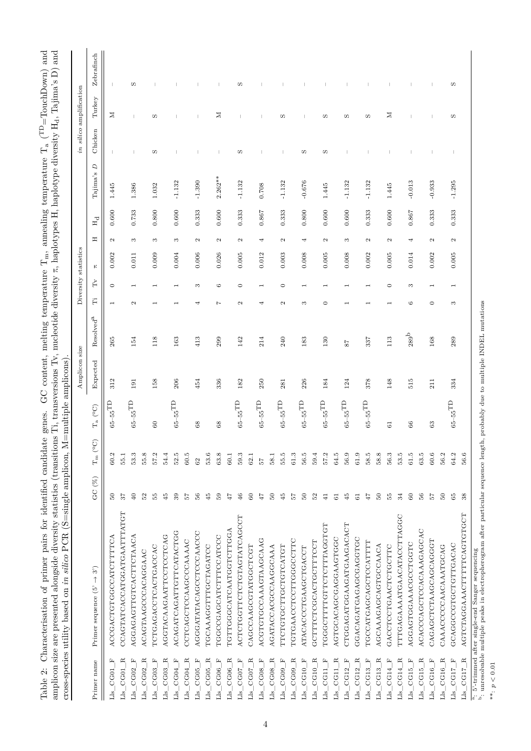| $\text{CouchDown}$ and<br>$\cdots$ remperature T. (TD=Tomer .           | $\mathbf{T}_4$ , Tajima's D) and<br>уH                                                  |                                                                  |
|-------------------------------------------------------------------------|-----------------------------------------------------------------------------------------|------------------------------------------------------------------|
|                                                                         | tions Ti, transversions Tv, nucleotide diversity $\pi$ , haplotypes H, haplotype divers |                                                                  |
| date genes. GC content, melting temperature $T_{\rm m}$ , annealing ter |                                                                                         |                                                                  |
|                                                                         |                                                                                         | mond of the                                                      |
|                                                                         |                                                                                         | $M = \text{mul}$                                                 |
| Table 2: Characterisation of primer pairs for identified candi          | amplicon size are presented alongside diversity statistics (tran                        | coss-species utility based on in silico $PCR$ (S=single amplicon |
|                                                                         |                                                                                         |                                                                  |
|                                                                         |                                                                                         |                                                                  |

| Zebrafinch<br>S<br>S<br>w<br>Turkey<br>Σ<br>≍<br>z<br>S<br>S<br>w<br>w<br>w<br>w<br>Chicken<br>w<br>S<br>S<br>S<br>$\overline{D}$<br>Tajima's<br>$2.262**$<br>$-1.390$<br>$-0.676$<br>$-0.013$<br>$-0.933$<br>$-1.295$<br>$-1.132$<br>$-1.132$<br>$-1.132$<br>$-1.132$<br>$-1.132$<br>1.032<br>0.708<br>1.445<br>1.445<br>1.386<br>1.445<br>0.800<br>0.600<br>0.600<br>0.333<br>0.800<br>0.600<br>0.600<br>0.867<br>0.600<br>0.733<br>0.333<br>0.867<br>0.333<br>0.333<br>0.600<br>0.333<br>0.333<br>$\mathbb{H}_{\rm d}$<br>Ξ<br>$\infty$<br>$\infty$<br>$\mathbf{\sim}$<br>$\infty$<br>$\mathbf{c}$<br>3<br>$\mathbf{c}$<br>4<br>$\mathfrak{a}$<br>4<br>$\mathbf{c}$<br>4<br>$\mathbf{\Omega}$<br>$\mathbf{c}$<br>$\mathbf{c}$<br>2<br>$\mathbf{\Omega}$<br>0.009<br>0.004<br>0.006<br>0.026<br>0.005<br>0.012<br>0.008<br>0.005<br>0.008<br>0.005<br>0.005<br>0.002<br>0.003<br>0.002<br>0.014<br>0.002<br>0.011<br>$\mathsf{E}$<br>È<br>$\circ$<br>G<br>$\circ$<br>$\circ$<br>$\circ$<br>S<br>S<br>$\overline{\phantom{0}}$<br>$\overline{\phantom{0}}$<br>$\widetilde{\mathbb{H}}$<br>$\frac{a_1}{b_1}$ 5'-trimmed after single-end Sanger sequencing<br>b: unresolvable multiple peaks in electropherogram after particular sequence length, probably due to multiple INDEL mutations<br>$\mathbf{\Omega}$<br>$\mathbf{c}$<br>4<br>$\mathbf{c}$<br>S<br>$\circ$<br>G<br>$\circ$<br>S<br>Ņ<br>4<br>$\overline{\phantom{0}}$<br>$\overline{\phantom{0}}$<br>Resolved <sup>a</sup><br>$_{289}\mathrm{^b}$<br>118<br>413<br>299<br>142<br>214<br>240<br>113<br>168<br>289<br>$265\,$<br>163<br>183<br>$130\,$<br>337<br>154<br>$^{57}$<br>Expected<br>158<br>206<br>378<br>148<br>515<br>312<br>454<br>336<br>250<br>226<br>211<br>334<br>182<br>184<br>124<br>281<br>191<br>$_{\rm 65-55} \rm \scriptstyle TD$<br>$65\text{--}55^\text{T}\text{D}$<br>$_{\rm 65-55} \rm \scriptstyle TD$<br>$65\text{--}55^\text{T\text{D}}$<br>$65\text{--}55^\text{T}\text{D}$<br>$65\text{--}55^\text{T\textrm{D}}$<br>$65\text{--}55^\text{TD}$<br>$65\text{--}55^\text{TD}$<br>$65\text{--}55^\text{T\textrm{D}}$<br>$65\text{--}55^\text{TD}$<br>$65\text{--}55^\text{T\!}$<br>$\rm T_a$ (°C)<br>$^{60}$<br>$_{68}$<br>68<br>66<br>63<br>61<br>$T_{\rm m}$ (°C)<br>53.3<br>55.8<br>52.5<br>$60.5\,$<br>53.6<br>$64.5\,$<br>56.9<br>$61.9\,$<br>58.5<br>58.8<br>56.3<br>53.5<br>$61.5\,$<br>$63.5\,$<br>$60.6\,$<br>56.2<br>64.2<br>56.6<br>$60.2\,$<br>55.1<br>57.2<br>54.4<br>63.8<br>59.3<br>55.5<br>$61.3\,$<br>56.5<br>59.4<br>57.2<br>$60.1\,$<br>58.1<br>62.1<br>$62\,$<br>72<br>GC $(\%)$<br>$50\,$<br>$50\,$<br>$50\,$<br>40<br>52<br>55<br>$\ddot{4}$<br>$\frac{2}{3}$<br>56<br>45<br>$50$<br>$\mbox{6}$<br>$47\,$<br>45<br>$50\,$<br>$47\,$<br>55<br>$56\,$<br>$50\,$<br>39<br>$46\,$<br>75<br>52<br>34<br>$\mbox{S}$<br>57<br>$65\,$<br>$38\,$<br>57<br>$41$<br>$45$<br>$\rm G$<br>$\overline{4}$<br>$61\,$<br>CCAGTATCACCATGGATGAATTATGT<br>AGTCTAGGAAACTTTTCAGTGTGCT<br>ACTCTGGTTCTCTGTAGTATCAGCCT<br>TTTGAGAAAATGAACATACCTTAGGC<br>CTGGAGATGGAAGATGAAGACACT<br>TGGGCTTTTGTTCTTTAGGTGT<br>TGTTGGGCATCAATGTTGGA<br>ACACCCAGCTCCACAAAGAGCAC<br>ACAGATCAGATTGTTCATACTGG<br>AGGGATATACAGCCTCCCAACCC<br>AGGAGAGTTGTCACTTCTAACA<br>ACCGACTGTGCCATCTTTCA<br>AGGTACAAGAATTCCTCCTCAG<br>TGGCCGAGCATCTTTCCATCCC<br>AGTGCACAGCAGGAAGTGGC<br>CCACACACACCOCACCO<br>ACGTGTGCCAAAGTAAGCAAG<br>TGTGAACCTCCTTGGCCTTC<br>CCTCAGCTCCAAGCCCAAAAC<br>CAGAGCTCTAAGCAGCAGGGT<br>GCTTTCTCGCACTGCTTCCT<br>TGCCATGAGCAGCTCCATTTT<br>AGGAGTGGAACGCCTGGTC<br>GCAGGCCGTGCTTGACAC<br>AGCAAAGAGCAGTGCCAACA<br><b>TTCTGTGCTTGCTGTCATGT</b><br>TCTGAGACCTCACTGACCAC<br>TGCAAAGGTTGCTAGATCC<br>GACCTCCTGAACTCTGCTTC<br>CAGCCAAGCGTATGGCTCGT<br>AGATACCACGCCAAGCAAA<br>CAAACCCCAACAAATGCAG<br>ATACACCCTGAAGCTGACCT<br>ACAGTAAGCCACAGGAAC<br>$3^{\circ}$<br>$\uparrow$<br>Primer sequence (5'<br>$Lls_CG16_R$<br>$Lls_CGI7_R$<br>$CGO1$ <sub>R</sub><br>$CGO2$ <sub>R</sub><br>$\approx$<br>$CGO5$ <sub>R</sub><br>Lls_CG06_R<br>$\rm Lls\_CGO7\_F$<br>$CG07$ <sub>R</sub><br>${\rm Lls\_CG08\_F}$<br>$Lls$ $_CG08$ $R$<br>Lls_CG09_F<br>$CGO9$ R<br>$CG10$ <sub>R</sub><br>$\approx$<br>≃.<br>≃.<br>$CG14$ <sub>R</sub><br>$CG15$ F<br>$CG15$ <sub>R</sub><br>${\rm Lls\_CG16\_F}$<br>$\rm Lls\_CG17\_F$<br>$CGO2$ F<br>$CG03$ <sub>F</sub><br>$CGO3$ <sub>R</sub><br>$Lls$ $CGG4$ $F$<br>乓<br>$\rm Lls\_CGO6\_F$<br>CG10 F<br>叫<br>Ĺ.<br>叫<br>$CG14_F$<br>F.<br>Primer name<br>CG05<br>CG04<br>CGI<br>CG13<br>$_{\rm CG12}$<br>CGI1<br>$_{\rm CG12}$<br>CG13<br>CG01<br>$\Xi$<br>$_{\text{Lls}}$<br>$\overline{\Xi}$<br>$\Xi$<br>$\Xi$<br>$\Xi$<br>$\Xi$<br>$\overline{\Xi}$<br>$\overline{\Xi}$<br>$\Xi$<br>$\Xi$<br>$\Xi$<br>$\Xi$<br>$\overline{\mathbf{H}}$<br>$\Xi$<br>$\Xi$<br>$\Xi$<br>$_{\rm dis}$<br>$\Xi$<br>$\Xi$<br>$\Xi$<br>$\Xi$<br>Цí |  |  | Amplicon size |  | Diversity statistics |  | in silico amplification |  |
|--------------------------------------------------------------------------------------------------------------------------------------------------------------------------------------------------------------------------------------------------------------------------------------------------------------------------------------------------------------------------------------------------------------------------------------------------------------------------------------------------------------------------------------------------------------------------------------------------------------------------------------------------------------------------------------------------------------------------------------------------------------------------------------------------------------------------------------------------------------------------------------------------------------------------------------------------------------------------------------------------------------------------------------------------------------------------------------------------------------------------------------------------------------------------------------------------------------------------------------------------------------------------------------------------------------------------------------------------------------------------------------------------------------------------------------------------------------------------------------------------------------------------------------------------------------------------------------------------------------------------------------------------------------------------------------------------------------------------------------------------------------------------------------------------------------------------------------------------------------------------------------------------------------------------------------------------------------------------------------------------------------------------------------------------------------------------------------------------------------------------------------------------------------------------------------------------------------------------------------------------------------------------------------------------------------------------------------------------------------------------------------------------------------------------------------------------------------------------------------------------------------------------------------------------------------------------------------------------------------------------------------------------------------------------------------------------------------------------------------------------------------------------------------------------------------------------------------------------------------------------------------------------------------------------------------------------------------------------------------------------------------------------------------------------------------------------------------------------------------------------------------------------------------------------------------------------------------------------------------------------------------------------------------------------------------------------------------------------------------------------------------------------------------------------------------------------------------------------------------------------------------------------------------------------------------------------------------------------------------------------------------------------------------------------------------------------------------------------------------------------------------------------------------------------------------------------------------------------------------------------------------------------------------------------------------------------------------------------------------------------------------------------------------------------------------------------------------------------------------------------------------------------------------------------------------------------------------------------------------------------------------------------------------------------------------------------------------------------------------------------------------------------------------------------------------------------------------------------------------------------------------------------------------------------------------------------------------------------------------------------------------------------------------------------------------------------------------------------------------------------------------------------------------------------------------------------|--|--|---------------|--|----------------------|--|-------------------------|--|
|                                                                                                                                                                                                                                                                                                                                                                                                                                                                                                                                                                                                                                                                                                                                                                                                                                                                                                                                                                                                                                                                                                                                                                                                                                                                                                                                                                                                                                                                                                                                                                                                                                                                                                                                                                                                                                                                                                                                                                                                                                                                                                                                                                                                                                                                                                                                                                                                                                                                                                                                                                                                                                                                                                                                                                                                                                                                                                                                                                                                                                                                                                                                                                                                                                                                                                                                                                                                                                                                                                                                                                                                                                                                                                                                                                                                                                                                                                                                                                                                                                                                                                                                                                                                                                                                                                                                                                                                                                                                                                                                                                                                                                                                                                                                                                                                                          |  |  |               |  |                      |  |                         |  |
|                                                                                                                                                                                                                                                                                                                                                                                                                                                                                                                                                                                                                                                                                                                                                                                                                                                                                                                                                                                                                                                                                                                                                                                                                                                                                                                                                                                                                                                                                                                                                                                                                                                                                                                                                                                                                                                                                                                                                                                                                                                                                                                                                                                                                                                                                                                                                                                                                                                                                                                                                                                                                                                                                                                                                                                                                                                                                                                                                                                                                                                                                                                                                                                                                                                                                                                                                                                                                                                                                                                                                                                                                                                                                                                                                                                                                                                                                                                                                                                                                                                                                                                                                                                                                                                                                                                                                                                                                                                                                                                                                                                                                                                                                                                                                                                                                          |  |  |               |  |                      |  |                         |  |
|                                                                                                                                                                                                                                                                                                                                                                                                                                                                                                                                                                                                                                                                                                                                                                                                                                                                                                                                                                                                                                                                                                                                                                                                                                                                                                                                                                                                                                                                                                                                                                                                                                                                                                                                                                                                                                                                                                                                                                                                                                                                                                                                                                                                                                                                                                                                                                                                                                                                                                                                                                                                                                                                                                                                                                                                                                                                                                                                                                                                                                                                                                                                                                                                                                                                                                                                                                                                                                                                                                                                                                                                                                                                                                                                                                                                                                                                                                                                                                                                                                                                                                                                                                                                                                                                                                                                                                                                                                                                                                                                                                                                                                                                                                                                                                                                                          |  |  |               |  |                      |  |                         |  |
|                                                                                                                                                                                                                                                                                                                                                                                                                                                                                                                                                                                                                                                                                                                                                                                                                                                                                                                                                                                                                                                                                                                                                                                                                                                                                                                                                                                                                                                                                                                                                                                                                                                                                                                                                                                                                                                                                                                                                                                                                                                                                                                                                                                                                                                                                                                                                                                                                                                                                                                                                                                                                                                                                                                                                                                                                                                                                                                                                                                                                                                                                                                                                                                                                                                                                                                                                                                                                                                                                                                                                                                                                                                                                                                                                                                                                                                                                                                                                                                                                                                                                                                                                                                                                                                                                                                                                                                                                                                                                                                                                                                                                                                                                                                                                                                                                          |  |  |               |  |                      |  |                         |  |
|                                                                                                                                                                                                                                                                                                                                                                                                                                                                                                                                                                                                                                                                                                                                                                                                                                                                                                                                                                                                                                                                                                                                                                                                                                                                                                                                                                                                                                                                                                                                                                                                                                                                                                                                                                                                                                                                                                                                                                                                                                                                                                                                                                                                                                                                                                                                                                                                                                                                                                                                                                                                                                                                                                                                                                                                                                                                                                                                                                                                                                                                                                                                                                                                                                                                                                                                                                                                                                                                                                                                                                                                                                                                                                                                                                                                                                                                                                                                                                                                                                                                                                                                                                                                                                                                                                                                                                                                                                                                                                                                                                                                                                                                                                                                                                                                                          |  |  |               |  |                      |  |                         |  |
|                                                                                                                                                                                                                                                                                                                                                                                                                                                                                                                                                                                                                                                                                                                                                                                                                                                                                                                                                                                                                                                                                                                                                                                                                                                                                                                                                                                                                                                                                                                                                                                                                                                                                                                                                                                                                                                                                                                                                                                                                                                                                                                                                                                                                                                                                                                                                                                                                                                                                                                                                                                                                                                                                                                                                                                                                                                                                                                                                                                                                                                                                                                                                                                                                                                                                                                                                                                                                                                                                                                                                                                                                                                                                                                                                                                                                                                                                                                                                                                                                                                                                                                                                                                                                                                                                                                                                                                                                                                                                                                                                                                                                                                                                                                                                                                                                          |  |  |               |  |                      |  |                         |  |
|                                                                                                                                                                                                                                                                                                                                                                                                                                                                                                                                                                                                                                                                                                                                                                                                                                                                                                                                                                                                                                                                                                                                                                                                                                                                                                                                                                                                                                                                                                                                                                                                                                                                                                                                                                                                                                                                                                                                                                                                                                                                                                                                                                                                                                                                                                                                                                                                                                                                                                                                                                                                                                                                                                                                                                                                                                                                                                                                                                                                                                                                                                                                                                                                                                                                                                                                                                                                                                                                                                                                                                                                                                                                                                                                                                                                                                                                                                                                                                                                                                                                                                                                                                                                                                                                                                                                                                                                                                                                                                                                                                                                                                                                                                                                                                                                                          |  |  |               |  |                      |  |                         |  |
|                                                                                                                                                                                                                                                                                                                                                                                                                                                                                                                                                                                                                                                                                                                                                                                                                                                                                                                                                                                                                                                                                                                                                                                                                                                                                                                                                                                                                                                                                                                                                                                                                                                                                                                                                                                                                                                                                                                                                                                                                                                                                                                                                                                                                                                                                                                                                                                                                                                                                                                                                                                                                                                                                                                                                                                                                                                                                                                                                                                                                                                                                                                                                                                                                                                                                                                                                                                                                                                                                                                                                                                                                                                                                                                                                                                                                                                                                                                                                                                                                                                                                                                                                                                                                                                                                                                                                                                                                                                                                                                                                                                                                                                                                                                                                                                                                          |  |  |               |  |                      |  |                         |  |
|                                                                                                                                                                                                                                                                                                                                                                                                                                                                                                                                                                                                                                                                                                                                                                                                                                                                                                                                                                                                                                                                                                                                                                                                                                                                                                                                                                                                                                                                                                                                                                                                                                                                                                                                                                                                                                                                                                                                                                                                                                                                                                                                                                                                                                                                                                                                                                                                                                                                                                                                                                                                                                                                                                                                                                                                                                                                                                                                                                                                                                                                                                                                                                                                                                                                                                                                                                                                                                                                                                                                                                                                                                                                                                                                                                                                                                                                                                                                                                                                                                                                                                                                                                                                                                                                                                                                                                                                                                                                                                                                                                                                                                                                                                                                                                                                                          |  |  |               |  |                      |  |                         |  |
|                                                                                                                                                                                                                                                                                                                                                                                                                                                                                                                                                                                                                                                                                                                                                                                                                                                                                                                                                                                                                                                                                                                                                                                                                                                                                                                                                                                                                                                                                                                                                                                                                                                                                                                                                                                                                                                                                                                                                                                                                                                                                                                                                                                                                                                                                                                                                                                                                                                                                                                                                                                                                                                                                                                                                                                                                                                                                                                                                                                                                                                                                                                                                                                                                                                                                                                                                                                                                                                                                                                                                                                                                                                                                                                                                                                                                                                                                                                                                                                                                                                                                                                                                                                                                                                                                                                                                                                                                                                                                                                                                                                                                                                                                                                                                                                                                          |  |  |               |  |                      |  |                         |  |
|                                                                                                                                                                                                                                                                                                                                                                                                                                                                                                                                                                                                                                                                                                                                                                                                                                                                                                                                                                                                                                                                                                                                                                                                                                                                                                                                                                                                                                                                                                                                                                                                                                                                                                                                                                                                                                                                                                                                                                                                                                                                                                                                                                                                                                                                                                                                                                                                                                                                                                                                                                                                                                                                                                                                                                                                                                                                                                                                                                                                                                                                                                                                                                                                                                                                                                                                                                                                                                                                                                                                                                                                                                                                                                                                                                                                                                                                                                                                                                                                                                                                                                                                                                                                                                                                                                                                                                                                                                                                                                                                                                                                                                                                                                                                                                                                                          |  |  |               |  |                      |  |                         |  |
|                                                                                                                                                                                                                                                                                                                                                                                                                                                                                                                                                                                                                                                                                                                                                                                                                                                                                                                                                                                                                                                                                                                                                                                                                                                                                                                                                                                                                                                                                                                                                                                                                                                                                                                                                                                                                                                                                                                                                                                                                                                                                                                                                                                                                                                                                                                                                                                                                                                                                                                                                                                                                                                                                                                                                                                                                                                                                                                                                                                                                                                                                                                                                                                                                                                                                                                                                                                                                                                                                                                                                                                                                                                                                                                                                                                                                                                                                                                                                                                                                                                                                                                                                                                                                                                                                                                                                                                                                                                                                                                                                                                                                                                                                                                                                                                                                          |  |  |               |  |                      |  |                         |  |
|                                                                                                                                                                                                                                                                                                                                                                                                                                                                                                                                                                                                                                                                                                                                                                                                                                                                                                                                                                                                                                                                                                                                                                                                                                                                                                                                                                                                                                                                                                                                                                                                                                                                                                                                                                                                                                                                                                                                                                                                                                                                                                                                                                                                                                                                                                                                                                                                                                                                                                                                                                                                                                                                                                                                                                                                                                                                                                                                                                                                                                                                                                                                                                                                                                                                                                                                                                                                                                                                                                                                                                                                                                                                                                                                                                                                                                                                                                                                                                                                                                                                                                                                                                                                                                                                                                                                                                                                                                                                                                                                                                                                                                                                                                                                                                                                                          |  |  |               |  |                      |  |                         |  |
|                                                                                                                                                                                                                                                                                                                                                                                                                                                                                                                                                                                                                                                                                                                                                                                                                                                                                                                                                                                                                                                                                                                                                                                                                                                                                                                                                                                                                                                                                                                                                                                                                                                                                                                                                                                                                                                                                                                                                                                                                                                                                                                                                                                                                                                                                                                                                                                                                                                                                                                                                                                                                                                                                                                                                                                                                                                                                                                                                                                                                                                                                                                                                                                                                                                                                                                                                                                                                                                                                                                                                                                                                                                                                                                                                                                                                                                                                                                                                                                                                                                                                                                                                                                                                                                                                                                                                                                                                                                                                                                                                                                                                                                                                                                                                                                                                          |  |  |               |  |                      |  |                         |  |
|                                                                                                                                                                                                                                                                                                                                                                                                                                                                                                                                                                                                                                                                                                                                                                                                                                                                                                                                                                                                                                                                                                                                                                                                                                                                                                                                                                                                                                                                                                                                                                                                                                                                                                                                                                                                                                                                                                                                                                                                                                                                                                                                                                                                                                                                                                                                                                                                                                                                                                                                                                                                                                                                                                                                                                                                                                                                                                                                                                                                                                                                                                                                                                                                                                                                                                                                                                                                                                                                                                                                                                                                                                                                                                                                                                                                                                                                                                                                                                                                                                                                                                                                                                                                                                                                                                                                                                                                                                                                                                                                                                                                                                                                                                                                                                                                                          |  |  |               |  |                      |  |                         |  |
|                                                                                                                                                                                                                                                                                                                                                                                                                                                                                                                                                                                                                                                                                                                                                                                                                                                                                                                                                                                                                                                                                                                                                                                                                                                                                                                                                                                                                                                                                                                                                                                                                                                                                                                                                                                                                                                                                                                                                                                                                                                                                                                                                                                                                                                                                                                                                                                                                                                                                                                                                                                                                                                                                                                                                                                                                                                                                                                                                                                                                                                                                                                                                                                                                                                                                                                                                                                                                                                                                                                                                                                                                                                                                                                                                                                                                                                                                                                                                                                                                                                                                                                                                                                                                                                                                                                                                                                                                                                                                                                                                                                                                                                                                                                                                                                                                          |  |  |               |  |                      |  |                         |  |
|                                                                                                                                                                                                                                                                                                                                                                                                                                                                                                                                                                                                                                                                                                                                                                                                                                                                                                                                                                                                                                                                                                                                                                                                                                                                                                                                                                                                                                                                                                                                                                                                                                                                                                                                                                                                                                                                                                                                                                                                                                                                                                                                                                                                                                                                                                                                                                                                                                                                                                                                                                                                                                                                                                                                                                                                                                                                                                                                                                                                                                                                                                                                                                                                                                                                                                                                                                                                                                                                                                                                                                                                                                                                                                                                                                                                                                                                                                                                                                                                                                                                                                                                                                                                                                                                                                                                                                                                                                                                                                                                                                                                                                                                                                                                                                                                                          |  |  |               |  |                      |  |                         |  |
|                                                                                                                                                                                                                                                                                                                                                                                                                                                                                                                                                                                                                                                                                                                                                                                                                                                                                                                                                                                                                                                                                                                                                                                                                                                                                                                                                                                                                                                                                                                                                                                                                                                                                                                                                                                                                                                                                                                                                                                                                                                                                                                                                                                                                                                                                                                                                                                                                                                                                                                                                                                                                                                                                                                                                                                                                                                                                                                                                                                                                                                                                                                                                                                                                                                                                                                                                                                                                                                                                                                                                                                                                                                                                                                                                                                                                                                                                                                                                                                                                                                                                                                                                                                                                                                                                                                                                                                                                                                                                                                                                                                                                                                                                                                                                                                                                          |  |  |               |  |                      |  |                         |  |
|                                                                                                                                                                                                                                                                                                                                                                                                                                                                                                                                                                                                                                                                                                                                                                                                                                                                                                                                                                                                                                                                                                                                                                                                                                                                                                                                                                                                                                                                                                                                                                                                                                                                                                                                                                                                                                                                                                                                                                                                                                                                                                                                                                                                                                                                                                                                                                                                                                                                                                                                                                                                                                                                                                                                                                                                                                                                                                                                                                                                                                                                                                                                                                                                                                                                                                                                                                                                                                                                                                                                                                                                                                                                                                                                                                                                                                                                                                                                                                                                                                                                                                                                                                                                                                                                                                                                                                                                                                                                                                                                                                                                                                                                                                                                                                                                                          |  |  |               |  |                      |  |                         |  |
|                                                                                                                                                                                                                                                                                                                                                                                                                                                                                                                                                                                                                                                                                                                                                                                                                                                                                                                                                                                                                                                                                                                                                                                                                                                                                                                                                                                                                                                                                                                                                                                                                                                                                                                                                                                                                                                                                                                                                                                                                                                                                                                                                                                                                                                                                                                                                                                                                                                                                                                                                                                                                                                                                                                                                                                                                                                                                                                                                                                                                                                                                                                                                                                                                                                                                                                                                                                                                                                                                                                                                                                                                                                                                                                                                                                                                                                                                                                                                                                                                                                                                                                                                                                                                                                                                                                                                                                                                                                                                                                                                                                                                                                                                                                                                                                                                          |  |  |               |  |                      |  |                         |  |
|                                                                                                                                                                                                                                                                                                                                                                                                                                                                                                                                                                                                                                                                                                                                                                                                                                                                                                                                                                                                                                                                                                                                                                                                                                                                                                                                                                                                                                                                                                                                                                                                                                                                                                                                                                                                                                                                                                                                                                                                                                                                                                                                                                                                                                                                                                                                                                                                                                                                                                                                                                                                                                                                                                                                                                                                                                                                                                                                                                                                                                                                                                                                                                                                                                                                                                                                                                                                                                                                                                                                                                                                                                                                                                                                                                                                                                                                                                                                                                                                                                                                                                                                                                                                                                                                                                                                                                                                                                                                                                                                                                                                                                                                                                                                                                                                                          |  |  |               |  |                      |  |                         |  |
|                                                                                                                                                                                                                                                                                                                                                                                                                                                                                                                                                                                                                                                                                                                                                                                                                                                                                                                                                                                                                                                                                                                                                                                                                                                                                                                                                                                                                                                                                                                                                                                                                                                                                                                                                                                                                                                                                                                                                                                                                                                                                                                                                                                                                                                                                                                                                                                                                                                                                                                                                                                                                                                                                                                                                                                                                                                                                                                                                                                                                                                                                                                                                                                                                                                                                                                                                                                                                                                                                                                                                                                                                                                                                                                                                                                                                                                                                                                                                                                                                                                                                                                                                                                                                                                                                                                                                                                                                                                                                                                                                                                                                                                                                                                                                                                                                          |  |  |               |  |                      |  |                         |  |
|                                                                                                                                                                                                                                                                                                                                                                                                                                                                                                                                                                                                                                                                                                                                                                                                                                                                                                                                                                                                                                                                                                                                                                                                                                                                                                                                                                                                                                                                                                                                                                                                                                                                                                                                                                                                                                                                                                                                                                                                                                                                                                                                                                                                                                                                                                                                                                                                                                                                                                                                                                                                                                                                                                                                                                                                                                                                                                                                                                                                                                                                                                                                                                                                                                                                                                                                                                                                                                                                                                                                                                                                                                                                                                                                                                                                                                                                                                                                                                                                                                                                                                                                                                                                                                                                                                                                                                                                                                                                                                                                                                                                                                                                                                                                                                                                                          |  |  |               |  |                      |  |                         |  |
|                                                                                                                                                                                                                                                                                                                                                                                                                                                                                                                                                                                                                                                                                                                                                                                                                                                                                                                                                                                                                                                                                                                                                                                                                                                                                                                                                                                                                                                                                                                                                                                                                                                                                                                                                                                                                                                                                                                                                                                                                                                                                                                                                                                                                                                                                                                                                                                                                                                                                                                                                                                                                                                                                                                                                                                                                                                                                                                                                                                                                                                                                                                                                                                                                                                                                                                                                                                                                                                                                                                                                                                                                                                                                                                                                                                                                                                                                                                                                                                                                                                                                                                                                                                                                                                                                                                                                                                                                                                                                                                                                                                                                                                                                                                                                                                                                          |  |  |               |  |                      |  |                         |  |
|                                                                                                                                                                                                                                                                                                                                                                                                                                                                                                                                                                                                                                                                                                                                                                                                                                                                                                                                                                                                                                                                                                                                                                                                                                                                                                                                                                                                                                                                                                                                                                                                                                                                                                                                                                                                                                                                                                                                                                                                                                                                                                                                                                                                                                                                                                                                                                                                                                                                                                                                                                                                                                                                                                                                                                                                                                                                                                                                                                                                                                                                                                                                                                                                                                                                                                                                                                                                                                                                                                                                                                                                                                                                                                                                                                                                                                                                                                                                                                                                                                                                                                                                                                                                                                                                                                                                                                                                                                                                                                                                                                                                                                                                                                                                                                                                                          |  |  |               |  |                      |  |                         |  |
|                                                                                                                                                                                                                                                                                                                                                                                                                                                                                                                                                                                                                                                                                                                                                                                                                                                                                                                                                                                                                                                                                                                                                                                                                                                                                                                                                                                                                                                                                                                                                                                                                                                                                                                                                                                                                                                                                                                                                                                                                                                                                                                                                                                                                                                                                                                                                                                                                                                                                                                                                                                                                                                                                                                                                                                                                                                                                                                                                                                                                                                                                                                                                                                                                                                                                                                                                                                                                                                                                                                                                                                                                                                                                                                                                                                                                                                                                                                                                                                                                                                                                                                                                                                                                                                                                                                                                                                                                                                                                                                                                                                                                                                                                                                                                                                                                          |  |  |               |  |                      |  |                         |  |
|                                                                                                                                                                                                                                                                                                                                                                                                                                                                                                                                                                                                                                                                                                                                                                                                                                                                                                                                                                                                                                                                                                                                                                                                                                                                                                                                                                                                                                                                                                                                                                                                                                                                                                                                                                                                                                                                                                                                                                                                                                                                                                                                                                                                                                                                                                                                                                                                                                                                                                                                                                                                                                                                                                                                                                                                                                                                                                                                                                                                                                                                                                                                                                                                                                                                                                                                                                                                                                                                                                                                                                                                                                                                                                                                                                                                                                                                                                                                                                                                                                                                                                                                                                                                                                                                                                                                                                                                                                                                                                                                                                                                                                                                                                                                                                                                                          |  |  |               |  |                      |  |                         |  |
|                                                                                                                                                                                                                                                                                                                                                                                                                                                                                                                                                                                                                                                                                                                                                                                                                                                                                                                                                                                                                                                                                                                                                                                                                                                                                                                                                                                                                                                                                                                                                                                                                                                                                                                                                                                                                                                                                                                                                                                                                                                                                                                                                                                                                                                                                                                                                                                                                                                                                                                                                                                                                                                                                                                                                                                                                                                                                                                                                                                                                                                                                                                                                                                                                                                                                                                                                                                                                                                                                                                                                                                                                                                                                                                                                                                                                                                                                                                                                                                                                                                                                                                                                                                                                                                                                                                                                                                                                                                                                                                                                                                                                                                                                                                                                                                                                          |  |  |               |  |                      |  |                         |  |
|                                                                                                                                                                                                                                                                                                                                                                                                                                                                                                                                                                                                                                                                                                                                                                                                                                                                                                                                                                                                                                                                                                                                                                                                                                                                                                                                                                                                                                                                                                                                                                                                                                                                                                                                                                                                                                                                                                                                                                                                                                                                                                                                                                                                                                                                                                                                                                                                                                                                                                                                                                                                                                                                                                                                                                                                                                                                                                                                                                                                                                                                                                                                                                                                                                                                                                                                                                                                                                                                                                                                                                                                                                                                                                                                                                                                                                                                                                                                                                                                                                                                                                                                                                                                                                                                                                                                                                                                                                                                                                                                                                                                                                                                                                                                                                                                                          |  |  |               |  |                      |  |                         |  |
|                                                                                                                                                                                                                                                                                                                                                                                                                                                                                                                                                                                                                                                                                                                                                                                                                                                                                                                                                                                                                                                                                                                                                                                                                                                                                                                                                                                                                                                                                                                                                                                                                                                                                                                                                                                                                                                                                                                                                                                                                                                                                                                                                                                                                                                                                                                                                                                                                                                                                                                                                                                                                                                                                                                                                                                                                                                                                                                                                                                                                                                                                                                                                                                                                                                                                                                                                                                                                                                                                                                                                                                                                                                                                                                                                                                                                                                                                                                                                                                                                                                                                                                                                                                                                                                                                                                                                                                                                                                                                                                                                                                                                                                                                                                                                                                                                          |  |  |               |  |                      |  |                         |  |
|                                                                                                                                                                                                                                                                                                                                                                                                                                                                                                                                                                                                                                                                                                                                                                                                                                                                                                                                                                                                                                                                                                                                                                                                                                                                                                                                                                                                                                                                                                                                                                                                                                                                                                                                                                                                                                                                                                                                                                                                                                                                                                                                                                                                                                                                                                                                                                                                                                                                                                                                                                                                                                                                                                                                                                                                                                                                                                                                                                                                                                                                                                                                                                                                                                                                                                                                                                                                                                                                                                                                                                                                                                                                                                                                                                                                                                                                                                                                                                                                                                                                                                                                                                                                                                                                                                                                                                                                                                                                                                                                                                                                                                                                                                                                                                                                                          |  |  |               |  |                      |  |                         |  |
|                                                                                                                                                                                                                                                                                                                                                                                                                                                                                                                                                                                                                                                                                                                                                                                                                                                                                                                                                                                                                                                                                                                                                                                                                                                                                                                                                                                                                                                                                                                                                                                                                                                                                                                                                                                                                                                                                                                                                                                                                                                                                                                                                                                                                                                                                                                                                                                                                                                                                                                                                                                                                                                                                                                                                                                                                                                                                                                                                                                                                                                                                                                                                                                                                                                                                                                                                                                                                                                                                                                                                                                                                                                                                                                                                                                                                                                                                                                                                                                                                                                                                                                                                                                                                                                                                                                                                                                                                                                                                                                                                                                                                                                                                                                                                                                                                          |  |  |               |  |                      |  |                         |  |
|                                                                                                                                                                                                                                                                                                                                                                                                                                                                                                                                                                                                                                                                                                                                                                                                                                                                                                                                                                                                                                                                                                                                                                                                                                                                                                                                                                                                                                                                                                                                                                                                                                                                                                                                                                                                                                                                                                                                                                                                                                                                                                                                                                                                                                                                                                                                                                                                                                                                                                                                                                                                                                                                                                                                                                                                                                                                                                                                                                                                                                                                                                                                                                                                                                                                                                                                                                                                                                                                                                                                                                                                                                                                                                                                                                                                                                                                                                                                                                                                                                                                                                                                                                                                                                                                                                                                                                                                                                                                                                                                                                                                                                                                                                                                                                                                                          |  |  |               |  |                      |  |                         |  |
|                                                                                                                                                                                                                                                                                                                                                                                                                                                                                                                                                                                                                                                                                                                                                                                                                                                                                                                                                                                                                                                                                                                                                                                                                                                                                                                                                                                                                                                                                                                                                                                                                                                                                                                                                                                                                                                                                                                                                                                                                                                                                                                                                                                                                                                                                                                                                                                                                                                                                                                                                                                                                                                                                                                                                                                                                                                                                                                                                                                                                                                                                                                                                                                                                                                                                                                                                                                                                                                                                                                                                                                                                                                                                                                                                                                                                                                                                                                                                                                                                                                                                                                                                                                                                                                                                                                                                                                                                                                                                                                                                                                                                                                                                                                                                                                                                          |  |  |               |  |                      |  |                         |  |
|                                                                                                                                                                                                                                                                                                                                                                                                                                                                                                                                                                                                                                                                                                                                                                                                                                                                                                                                                                                                                                                                                                                                                                                                                                                                                                                                                                                                                                                                                                                                                                                                                                                                                                                                                                                                                                                                                                                                                                                                                                                                                                                                                                                                                                                                                                                                                                                                                                                                                                                                                                                                                                                                                                                                                                                                                                                                                                                                                                                                                                                                                                                                                                                                                                                                                                                                                                                                                                                                                                                                                                                                                                                                                                                                                                                                                                                                                                                                                                                                                                                                                                                                                                                                                                                                                                                                                                                                                                                                                                                                                                                                                                                                                                                                                                                                                          |  |  |               |  |                      |  |                         |  |

\*\*: *p <* 0*.*01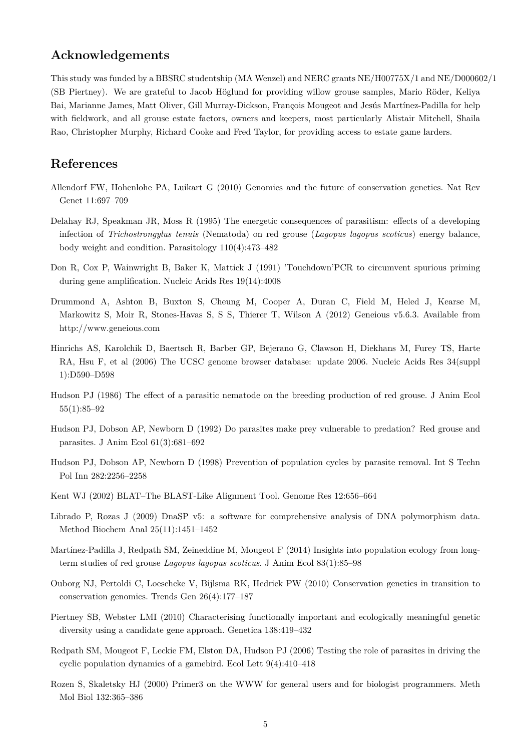## **Acknowledgements**

This study was funded by a BBSRC studentship (MA Wenzel) and NERC grants NE/H00775X/1 and NE/D000602/1 (SB Piertney). We are grateful to Jacob Höglund for providing willow grouse samples, Mario Röder, Keliya Bai, Marianne James, Matt Oliver, Gill Murray-Dickson, François Mougeot and Jesús Martínez-Padilla for help with fieldwork, and all grouse estate factors, owners and keepers, most particularly Alistair Mitchell, Shaila Rao, Christopher Murphy, Richard Cooke and Fred Taylor, for providing access to estate game larders.

## **References**

- Allendorf FW, Hohenlohe PA, Luikart G (2010) Genomics and the future of conservation genetics. Nat Rev Genet 11:697–709
- Delahay RJ, Speakman JR, Moss R (1995) The energetic consequences of parasitism: effects of a developing infection of *Trichostrongylus tenuis* (Nematoda) on red grouse (*Lagopus lagopus scoticus*) energy balance, body weight and condition. Parasitology 110(4):473–482
- Don R, Cox P, Wainwright B, Baker K, Mattick J (1991) 'Touchdown'PCR to circumvent spurious priming during gene amplification. Nucleic Acids Res 19(14):4008
- Drummond A, Ashton B, Buxton S, Cheung M, Cooper A, Duran C, Field M, Heled J, Kearse M, Markowitz S, Moir R, Stones-Havas S, S S, Thierer T, Wilson A (2012) Geneious v5.6.3. Available from http://www.geneious.com
- Hinrichs AS, Karolchik D, Baertsch R, Barber GP, Bejerano G, Clawson H, Diekhans M, Furey TS, Harte RA, Hsu F, et al (2006) The UCSC genome browser database: update 2006. Nucleic Acids Res 34(suppl 1):D590–D598
- Hudson PJ (1986) The effect of a parasitic nematode on the breeding production of red grouse. J Anim Ecol 55(1):85–92
- Hudson PJ, Dobson AP, Newborn D (1992) Do parasites make prey vulnerable to predation? Red grouse and parasites. J Anim Ecol 61(3):681–692
- Hudson PJ, Dobson AP, Newborn D (1998) Prevention of population cycles by parasite removal. Int S Techn Pol Inn 282:2256–2258
- Kent WJ (2002) BLAT–The BLAST-Like Alignment Tool. Genome Res 12:656–664
- Librado P, Rozas J (2009) DnaSP v5: a software for comprehensive analysis of DNA polymorphism data. Method Biochem Anal 25(11):1451–1452
- Martínez-Padilla J, Redpath SM, Zeineddine M, Mougeot F (2014) Insights into population ecology from longterm studies of red grouse *Lagopus lagopus scoticus*. J Anim Ecol 83(1):85–98
- Ouborg NJ, Pertoldi C, Loeschcke V, Bijlsma RK, Hedrick PW (2010) Conservation genetics in transition to conservation genomics. Trends Gen 26(4):177–187
- Piertney SB, Webster LMI (2010) Characterising functionally important and ecologically meaningful genetic diversity using a candidate gene approach. Genetica 138:419–432
- Redpath SM, Mougeot F, Leckie FM, Elston DA, Hudson PJ (2006) Testing the role of parasites in driving the cyclic population dynamics of a gamebird. Ecol Lett 9(4):410–418
- Rozen S, Skaletsky HJ (2000) Primer3 on the WWW for general users and for biologist programmers. Meth Mol Biol 132:365–386